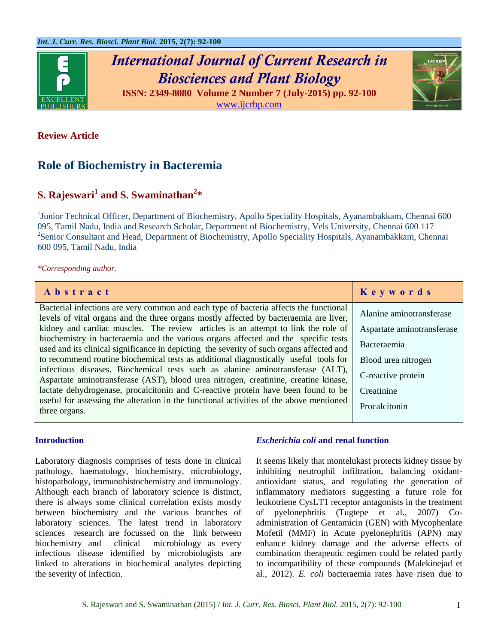

# *International Journal of Current Research in Biosciences and Plant Biology*



**ISSN: 2349-8080 Volume 2 Number 7 (July-2015) pp. 92-100** [www.ijcrbp.com](http://www.ijcrbp.com/)

### **Review Article**

# **Role of Biochemistry in Bacteremia**

## **S. Rajeswari<sup>1</sup> and S. Swaminathan<sup>2</sup> \***

<sup>1</sup>Junior Technical Officer, Department of Biochemistry, Apollo Speciality Hospitals, Ayanambakkam, Chennai 600 095, Tamil Nadu, India and Research Scholar, Department of Biochemistry, Vels University, Chennai 600 117 <sup>2</sup> Senior Consultant and Head, Department of Biochemistry, Apollo Speciality Hospitals, Ayanambakkam, Chennai 600 095, Tamil Nadu, India

*\*Corresponding author.*

| Abstract                                                                                                                                                                       | Keywords                   |
|--------------------------------------------------------------------------------------------------------------------------------------------------------------------------------|----------------------------|
| Bacterial infections are very common and each type of bacteria affects the functional<br>levels of vital organs and the three organs mostly affected by bacteraemia are liver, | Alanine aminotransferase   |
| kidney and cardiac muscles. The review articles is an attempt to link the role of                                                                                              | Aspartate aminotransferase |
| biochemistry in bacteraemia and the various organs affected and the specific tests<br>used and its clinical significance in depicting the severity of such organs affected and | Bacteraemia                |
| to recommend routine biochemical tests as additional diagnostically useful tools for                                                                                           | Blood urea nitrogen        |
| infectious diseases. Biochemical tests such as alanine aminotransferase (ALT),<br>Aspartate aminotransferase (AST), blood urea nitrogen, creatinine, creatine kinase,          | C-reactive protein         |
| lactate dehydrogenase, procalcitonin and C-reactive protein have been found to be                                                                                              | Creatinine                 |
| useful for assessing the alteration in the functional activities of the above mentioned<br>three organs.                                                                       | Procalcitonin              |

#### **Introduction**

Laboratory diagnosis comprises of tests done in clinical pathology, haematology, biochemistry, microbiology, histopathology, immunohistochemistry and immunology. Although each branch of laboratory science is distinct, there is always some clinical correlation exists mostly between biochemistry and the various branches of laboratory sciences. The latest trend in laboratory sciences research are focussed on the link between biochemistry and clinical microbiology as every infectious disease identified by microbiologists are linked to alterations in biochemical analytes depicting the severity of infection.

#### *Escherichia coli* **and renal function**

It seems likely that montelukast protects kidney tissue by inhibiting neutrophil infiltration, balancing oxidantantioxidant status, and regulating the generation of inflammatory mediators suggesting a future role for leukotriene CysLT1 receptor antagonists in the treatment of pyelonephritis (Tugtepe et al., 2007) Coadministration of Gentamicin (GEN) with Mycophenlate Mofetil (MMF) in Acute pyelonephritis (APN) may enhance kidney damage and the adverse effects of combination therapeutic regimen could be related partly to incompatibility of these compounds (Malekinejad et al., 2012). *E. coli* bacteraemia rates have risen due to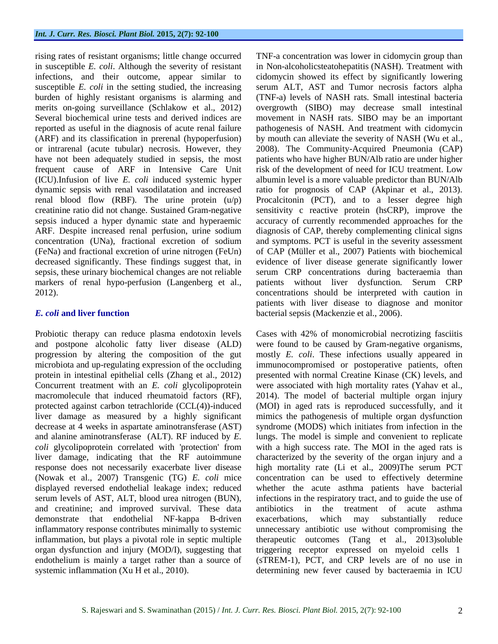rising rates of resistant organisms; little change occurred in susceptible *E. coli*. Although the severity of resistant infections, and their outcome, appear similar to susceptible *E. coli* in the setting studied, the increasing burden of highly resistant organisms is alarming and merits on-going surveillance (Schlakow et al., 2012) Several biochemical urine tests and derived indices are reported as useful in the diagnosis of acute renal failure (ARF) and its classification in prerenal (hypoperfusion) or intrarenal (acute tubular) necrosis. However, they have not been adequately studied in sepsis, the most frequent cause of ARF in Intensive Care Unit (ICU).Infusion of live *E. coli* induced systemic hyper dynamic sepsis with renal vasodilatation and increased renal blood flow (RBF). The urine protein  $(u/p)$ creatinine ratio did not change. Sustained Gram-negative sepsis induced a hyper dynamic state and hyperaemic ARF. Despite increased renal perfusion, urine sodium concentration (UNa), fractional excretion of sodium (FeNa) and fractional excretion of urine nitrogen (FeUn) decreased significantly. These findings suggest that, in sepsis, these urinary biochemical changes are not reliable markers of renal hypo-perfusion (Langenberg et al., 2012).

#### *E. coli* **and liver function**

Probiotic therapy can reduce plasma endotoxin levels and postpone alcoholic fatty liver disease (ALD) progression by altering the composition of the gut microbiota and up-regulating expression of the occluding protein in intestinal epithelial cells (Zhang et al., 2012) Concurrent treatment with an *E. coli* glycolipoprotein macromolecule that induced rheumatoid factors (RF), protected against carbon tetrachloride (CCL(4))-induced liver damage as measured by a highly significant decrease at 4 weeks in aspartate aminotransferase (AST) and alanine aminotransferase (ALT). RF induced by *E. coli* glycolipoprotein correlated with 'protection' from liver damage, indicating that the RF autoimmune response does not necessarily exacerbate liver disease (Nowak et al., 2007) Transgenic (TG) *E. coli* mice displayed reversed endothelial leakage index; reduced serum levels of AST, ALT, blood urea nitrogen (BUN), and creatinine; and improved survival. These data demonstrate that endothelial NF-kappa B-driven inflammatory response contributes minimally to systemic inflammation, but plays a pivotal role in septic multiple organ dysfunction and injury (MOD/I), suggesting that endothelium is mainly a target rather than a source of systemic inflammation (Xu H et al., 2010).

TNF-a concentration was lower in cidomycin group than in Non-alcoholicsteatohepatitis (NASH). Treatment with cidomycin showed its effect by significantly lowering serum ALT, AST and Tumor necrosis factors alpha (TNF-a) levels of NASH rats. Small intestinal bacteria overgrowth (SIBO) may decrease small intestinal movement in NASH rats. SIBO may be an important pathogenesis of NASH. And treatment with cidomycin by mouth can alleviate the severity of NASH (Wu et al., 2008). The Community-Acquired Pneumonia (CAP) patients who have higher BUN/Alb ratio are under higher risk of the development of need for ICU treatment. Low albumin level is a more valuable predictor than BUN/Alb ratio for prognosis of CAP (Akpinar et al., 2013). Procalcitonin (PCT), and to a lesser degree high sensitivity c reactive protein (hsCRP), improve the accuracy of currently recommended approaches for the diagnosis of CAP, thereby complementing clinical signs and symptoms. PCT is useful in the severity assessment of CAP (Müller et al., 2007) Patients with biochemical evidence of liver disease generate significantly lower serum CRP concentrations during bacteraemia than patients without liver dysfunction. Serum CRP concentrations should be interpreted with caution in patients with liver disease to diagnose and monitor bacterial sepsis (Mackenzie et al., 2006).

Cases with 42% of monomicrobial necrotizing fasciitis were found to be caused by Gram-negative organisms, mostly *E. coli*. These infections usually appeared in immunocompromised or postoperative patients, often presented with normal Creatine Kinase (CK) levels, and were associated with high mortality rates (Yahav et al., 2014). The model of bacterial multiple organ injury (MOI) in aged rats is reproduced successfully, and it mimics the pathogenesis of multiple organ dysfunction syndrome (MODS) which initiates from infection in the lungs. The model is simple and convenient to replicate with a high success rate. The MOI in the aged rats is characterized by the severity of the organ injury and a high mortality rate (Li et al., 2009)The serum PCT concentration can be used to effectively determine whether the acute asthma patients have bacterial infections in the respiratory tract, and to guide the use of antibiotics in the treatment of acute asthma exacerbations, which may substantially reduce unnecessary antibiotic use without compromising the therapeutic outcomes (Tang et al., 2013)soluble triggering receptor expressed on myeloid cells 1 (sTREM-1), PCT, and CRP levels are of no use in determining new fever caused by bacteraemia in ICU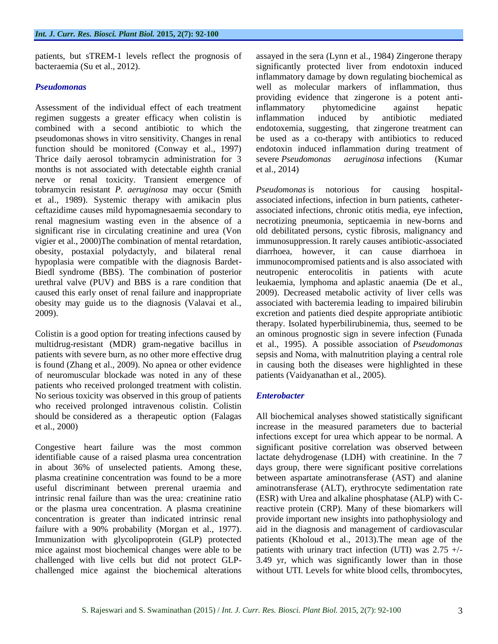patients, but sTREM-1 levels reflect the prognosis of bacteraemia (Su et al., 2012).

#### *Pseudomonas*

Assessment of the individual effect of each treatment regimen suggests a greater efficacy when colistin is combined with a second antibiotic to which the pseudomonas shows in vitro sensitivity. Changes in renal function should be monitored (Conway et al., 1997) Thrice daily aerosol tobramycin administration for 3 months is not associated with detectable eighth cranial nerve or renal toxicity. Transient emergence of tobramycin resistant *P. aeruginosa* may occur (Smith et al., 1989). Systemic therapy with amikacin plus ceftazidime causes mild hypomagnesaemia secondary to renal magnesium wasting even in the absence of a significant rise in circulating creatinine and urea (Von vigier et al., 2000)The combination of mental retardation, obesity, postaxial polydactyly, and bilateral renal hypoplasia were compatible with the diagnosis Bardet-Biedl syndrome (BBS). The combination of posterior urethral valve (PUV) and BBS is a rare condition that caused this early onset of renal failure and inappropriate obesity may guide us to the diagnosis (Valavai et al., 2009).

Colistin is a good option for treating infections caused by multidrug-resistant (MDR) gram-negative bacillus in patients with severe burn, as no other more effective drug is found (Zhang et al., 2009). No apnea or other evidence of neuromuscular blockade was noted in any of these patients who received prolonged treatment with colistin. No serious toxicity was observed in this group of patients who received prolonged intravenous colistin. Colistin should be considered as a therapeutic option (Falagas et al., 2000)

Congestive heart failure was the most common identifiable cause of a raised plasma urea concentration in about 36% of unselected patients. Among these, plasma creatinine concentration was found to be a more useful discriminant between prerenal uraemia and intrinsic renal failure than was the urea: creatinine ratio or the plasma urea concentration. A plasma creatinine concentration is greater than indicated intrinsic renal failure with a 90% probability (Morgan et al., 1977). Immunization with glycolipoprotein (GLP) protected mice against most biochemical changes were able to be challenged with live cells but did not protect GLPchallenged mice against the biochemical alterations assayed in the sera (Lynn et al., 1984) Zingerone therapy significantly protected liver from endotoxin induced inflammatory damage by down regulating biochemical as well as molecular markers of inflammation, thus providing evidence that zingerone is a potent antiinflammatory phytomedicine against hepatic inflammation induced by antibiotic mediated endotoxemia, suggesting, that zingerone treatment can be used as a co-therapy with antibiotics to reduced endotoxin induced inflammation during treatment of severe *Pseudomonas aeruginosa* infections (Kumar et al., 2014)

*Pseudomonas* is notorious for causing hospitalassociated infections, infection in burn patients, catheterassociated infections, chronic otitis media, eye infection, necrotizing pneumonia, septicaemia in new-borns and old debilitated persons, cystic fibrosis, malignancy and immunosuppression. It rarely causes antibiotic-associated diarrhoea, however, it can cause diarrhoea in immunocompromised patients and is also associated with neutropenic enterocolitis in patients with acute leukaemia, lymphoma and aplastic anaemia (De et al., 2009). Decreased metabolic activity of liver cells was associated with bacteremia leading to impaired bilirubin excretion and patients died despite appropriate antibiotic therapy. Isolated hyperbilirubinemia, thus, seemed to be an ominous prognostic sign in severe infection (Funada et al., 1995). A possible association of *Pseudomonas*  sepsis and Noma, with malnutrition playing a central role in causing both the diseases were highlighted in these patients (Vaidyanathan et al., 2005).

#### *Enterobacter*

All biochemical analyses showed statistically significant increase in the measured parameters due to bacterial infections except for urea which appear to be normal. A significant positive correlation was observed between lactate dehydrogenase (LDH) with creatinine. In the 7 days group, there were significant positive correlations between aspartate aminotransferase (AST) and alanine aminotransferase (ALT), erythrocyte sedimentation rate (ESR) with Urea and alkaline phosphatase (ALP) with Creactive protein (CRP). Many of these biomarkers will provide important new insights into pathophysiology and aid in the diagnosis and management of cardiovascular patients (Kholoud et al., 2013).The mean age of the patients with urinary tract infection (UTI) was 2.75 +/- 3.49 yr, which was significantly lower than in those without UTI. Levels for white blood cells, thrombocytes,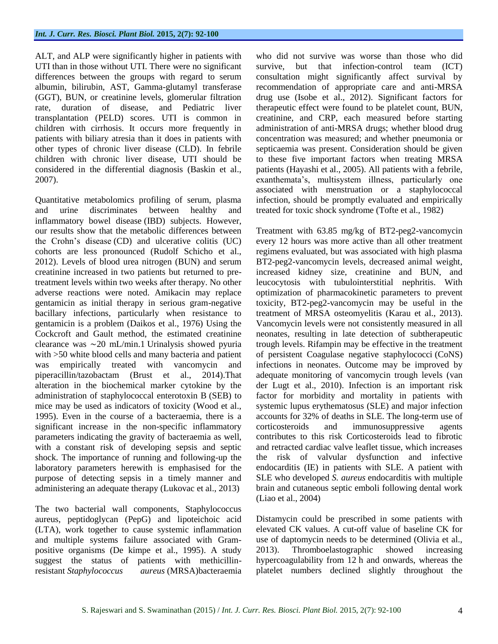ALT, and ALP were significantly higher in patients with UTI than in those without UTI. There were no significant differences between the groups with regard to serum albumin, bilirubin, AST, Gamma-glutamyl transferase (GGT), BUN, or creatinine levels, glomerular filtration rate, duration of disease, and Pediatric liver transplantation (PELD) scores. UTI is common in children with cirrhosis. It occurs more frequently in patients with biliary atresia than it does in patients with other types of chronic liver disease (CLD). In febrile children with chronic liver disease, UTI should be considered in the differential diagnosis (Baskin et al., 2007).

Quantitative metabolomics profiling of serum, plasma and urine discriminates between healthy and inflammatory bowel disease (IBD) subjects. However, our results show that the metabolic differences between the Crohn's disease (CD) and ulcerative colitis (UC) cohorts are less pronounced (Rudolf Schicho et al., 2012). Levels of blood urea nitrogen (BUN) and serum creatinine increased in two patients but returned to pretreatment levels within two weeks after therapy. No other adverse reactions were noted. Amikacin may replace gentamicin as initial therapy in serious gram-negative bacillary infections, particularly when resistance to gentamicin is a problem (Daikos et al., 1976) Using the Cockcroft and Gault method, the estimated creatinine clearance was ∼20 mL/min.1 Urinalysis showed pyuria with >50 white blood cells and many bacteria and patient was empirically treated with vancomycin and piperacillin/tazobactam (Brust et al., 2014).That alteration in the biochemical marker cytokine by the administration of staphylococcal enterotoxin B (SEB) to mice may be used as indicators of toxicity (Wood et al., 1995). Even in the course of a bacteraemia, there is a significant increase in the non-specific inflammatory parameters indicating the gravity of bacteraemia as well, with a constant risk of developing sepsis and septic shock. The importance of running and following-up the laboratory parameters herewith is emphasised for the purpose of detecting sepsis in a timely manner and administering an adequate therapy (Lukovac et al., 2013)

The two bacterial wall components, Staphylococcus aureus, peptidoglycan (PepG) and lipoteichoic acid (LTA), work together to cause systemic inflammation and multiple systems failure associated with Grampositive organisms (De kimpe et al., 1995). A study suggest the status of patients with methicillinresistant *Staphylococcus aureus* (MRSA)bacteraemia who did not survive was worse than those who did survive, but that infection-control team (ICT) consultation might significantly affect survival by recommendation of appropriate care and anti-MRSA drug use (Isobe et al., 2012). Significant factors for therapeutic effect were found to be platelet count, BUN, creatinine, and CRP, each measured before starting administration of anti-MRSA drugs; whether blood drug concentration was measured; and whether pneumonia or septicaemia was present. Consideration should be given to these five important factors when treating MRSA patients (Hayashi et al., 2005). All patients with a febrile, exanthemata's, multisystem illness, particularly one associated with menstruation or a staphylococcal infection, should be promptly evaluated and empirically treated for toxic shock syndrome (Tofte et al., 1982)

Treatment with 63.85 mg/kg of BT2-peg2-vancomycin every 12 hours was more active than all other treatment regimens evaluated, but was associated with high plasma BT2-peg2-vancomycin levels, decreased animal weight, increased kidney size, creatinine and BUN, and leucocytosis with tubulointerstitial nephritis. With optimization of pharmacokinetic parameters to prevent toxicity, BT2-peg2-vancomycin may be useful in the treatment of MRSA osteomyelitis (Karau et al., 2013). Vancomycin levels were not consistently measured in all neonates, resulting in late detection of subtherapeutic trough levels. Rifampin may be effective in the treatment of persistent Coagulase negative staphylococci (CoNS) infections in neonates. Outcome may be improved by adequate monitoring of vancomycin trough levels (van der Lugt et al., 2010). Infection is an important risk factor for morbidity and mortality in patients with systemic lupus erythematosus (SLE) and major infection accounts for 32% of deaths in SLE. The long-term use of corticosteroids and immunosuppressive agents contributes to this risk Corticosteroids lead to fibrotic and retracted cardiac valve leaflet tissue, which increases the risk of valvular dysfunction and infective endocarditis (IE) in patients with SLE. A patient with SLE who developed *S. aureus* endocarditis with multiple brain and cutaneous septic emboli following dental work (Liao et al., 2004)

Distamycin could be prescribed in some patients with elevated CK values. A cut-off value of baseline CK for use of daptomycin needs to be determined (Olivia et al., 2013). Thromboelastographic showed increasing hypercoagulability from 12 h and onwards, whereas the platelet numbers declined slightly throughout the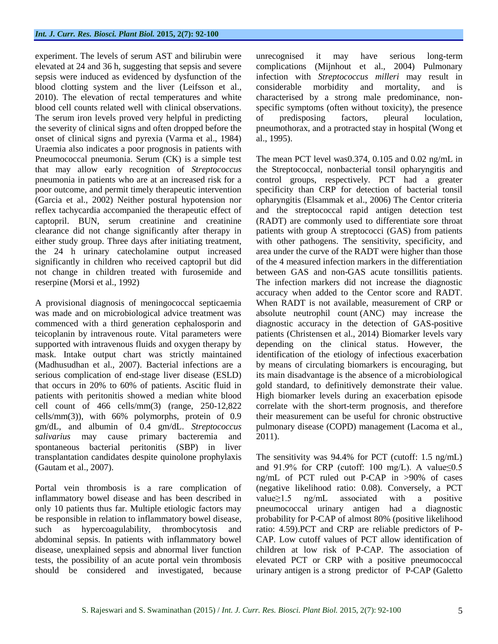experiment. The levels of serum AST and bilirubin were elevated at 24 and 36 h, suggesting that sepsis and severe sepsis were induced as evidenced by dysfunction of the blood clotting system and the liver (Leifsson et al., 2010). The elevation of rectal temperatures and white blood cell counts related well with clinical observations. The serum iron levels proved very helpful in predicting the severity of clinical signs and often dropped before the onset of clinical signs and pyrexia (Varma et al., 1984) Uraemia also indicates a poor prognosis in patients with Pneumococcal pneumonia. Serum (CK) is a simple test that may allow early recognition of *Streptococcus* pneumonia in patients who are at an increased risk for a poor outcome, and permit timely therapeutic intervention (Garcia et al., 2002) Neither postural hypotension nor reflex tachycardia accompanied the therapeutic effect of captopril. BUN, serum creatinine and creatinine clearance did not change significantly after therapy in either study group. Three days after initiating treatment, the 24 h urinary catecholamine output increased significantly in children who received captopril but did not change in children treated with furosemide and reserpine (Morsi et al., 1992)

A provisional diagnosis of meningococcal septicaemia was made and on microbiological advice treatment was commenced with a third generation cephalosporin and teicoplanin by intravenous route. Vital parameters were supported with intravenous fluids and oxygen therapy by mask. Intake output chart was strictly maintained (Madhusudhan et al., 2007). Bacterial infections are a serious complication of end-stage liver disease (ESLD) that occurs in 20% to 60% of patients. Ascitic fluid in patients with peritonitis showed a median white blood cell count of 466 cells/mm(3) (range, 250-12,822 cells/mm(3)), with 66% polymorphs, protein of 0.9 gm/dL, and albumin of 0.4 gm/dL. *Streptococcus salivarius* may cause primary bacteremia and spontaneous bacterial peritonitis (SBP) in liver transplantation candidates despite quinolone prophylaxis (Gautam et al., 2007).

Portal vein thrombosis is a rare complication of inflammatory bowel disease and has been described in only 10 patients thus far. Multiple etiologic factors may be responsible in relation to inflammatory bowel disease, such as hypercoagulability, thrombocytosis and abdominal sepsis. In patients with inflammatory bowel disease, unexplained sepsis and abnormal liver function tests, the possibility of an acute portal vein thrombosis should be considered and investigated, because

unrecognised it may have serious long-term complications (Mijnhout et al., 2004) Pulmonary infection with *Streptococcus milleri* may result in considerable morbidity and mortality, and is characterised by a strong male predominance, nonspecific symptoms (often without toxicity), the presence of predisposing factors, pleural loculation, pneumothorax, and a protracted stay in hospital (Wong et al., 1995).

The mean PCT level was0.374, 0.105 and 0.02 ng/mL in the Streptococcal, nonbacterial tonsil opharyngitis and control groups, respectively. PCT had a greater specificity than CRP for detection of bacterial tonsil opharyngitis (Elsammak et al., 2006) The Centor criteria and the streptococcal rapid antigen detection test (RADT) are commonly used to differentiate sore throat patients with group A streptococci (GAS) from patients with other pathogens. The sensitivity, specificity, and area under the curve of the RADT were higher than those of the 4 measured infection markers in the differentiation between GAS and non-GAS acute tonsillitis patients. The infection markers did not increase the diagnostic accuracy when added to the Centor score and RADT. When RADT is not available, measurement of CRP or absolute neutrophil count (ANC) may increase the diagnostic accuracy in the detection of GAS-positive patients (Christensen et al., 2014) Biomarker levels vary depending on the clinical status. However, the identification of the etiology of infectious exacerbation by means of circulating biomarkers is encouraging, but its main disadvantage is the absence of a microbiological gold standard, to definitively demonstrate their value. High biomarker levels during an exacerbation episode correlate with the short-term prognosis, and therefore their measurement can be useful for chronic obstructive pulmonary disease (COPD) management (Lacoma et al., 2011).

The sensitivity was 94.4% for PCT (cutoff: 1.5 ng/mL) and  $91.9\%$  for CRP (cutoff: 100 mg/L). A value  $0.5$ ng/mL of PCT ruled out P-CAP in >90% of cases (negative likelihood ratio: 0.08). Conversely, a PCT value≥1.5 ng/mL associated with a positive pneumococcal urinary antigen had a diagnostic probability for P-CAP of almost 80% (positive likelihood ratio: 4.59).PCT and CRP are reliable predictors of P-CAP. Low cutoff values of PCT allow identification of children at low risk of P-CAP. The association of elevated PCT or CRP with a positive pneumococcal urinary antigen is a strong predictor of P-CAP (Galetto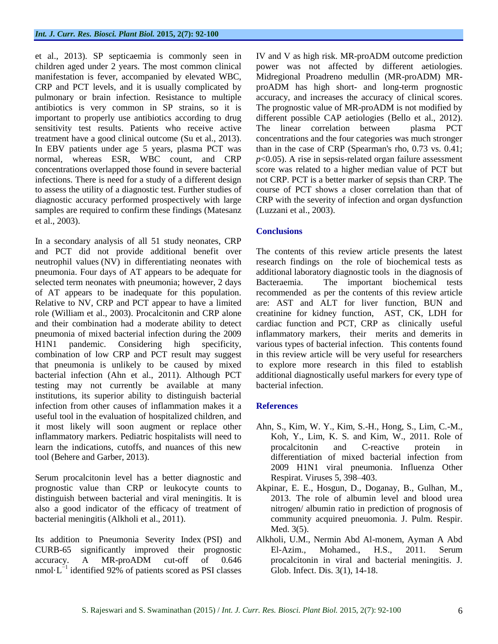et al., 2013). SP septicaemia is commonly seen in children aged under 2 years. The most common clinical manifestation is fever, accompanied by elevated WBC, CRP and PCT levels, and it is usually complicated by pulmonary or brain infection. Resistance to multiple antibiotics is very common in SP strains, so it is important to properly use antibiotics according to drug sensitivity test results. Patients who receive active treatment have a good clinical outcome (Su et al., 2013). In EBV patients under age 5 years, plasma PCT was normal, whereas ESR, WBC count, and CRP concentrations overlapped those found in severe bacterial infections. There is need for a study of a different design to assess the utility of a diagnostic test. Further studies of diagnostic accuracy performed prospectively with large samples are required to confirm these findings (Matesanz et al., 2003).

In a secondary analysis of all 51 study neonates, CRP and PCT did not provide additional benefit over neutrophil values (NV) in differentiating neonates with pneumonia. Four days of AT appears to be adequate for selected term neonates with pneumonia; however, 2 days of AT appears to be inadequate for this population. Relative to NV, CRP and PCT appear to have a limited role (William et al., 2003). Procalcitonin and CRP alone and their combination had a moderate ability to detect pneumonia of mixed bacterial infection during the 2009 H1N1 pandemic. Considering high specificity, combination of low CRP and PCT result may suggest that pneumonia is unlikely to be caused by mixed bacterial infection (Ahn et al., 2011). Although PCT testing may not currently be available at many institutions, its superior ability to distinguish bacterial infection from other causes of inflammation makes it a useful tool in the evaluation of hospitalized children, and it most likely will soon augment or replace other inflammatory markers. Pediatric hospitalists will need to learn the indications, cutoffs, and nuances of this new tool (Behere and Garber, 2013).

Serum procalcitonin level has a better diagnostic and prognostic value than CRP or leukocyte counts to distinguish between bacterial and viral meningitis. It is also a good indicator of the efficacy of treatment of bacterial meningitis (Alkholi et al., 2011).

Its addition to Pneumonia Severity Index (PSI) and CURB-65 significantly improved their prognostic accuracy. A MR-proADM cut-off of 0.646 nmol·L<sup>-1</sup> identified 92% of patients scored as PSI classes IV and V as high risk. MR-proADM outcome prediction power was not affected by different aetiologies. Midregional Proadreno medullin (MR-proADM) MRproADM has high short- and long-term prognostic accuracy, and increases the accuracy of clinical scores. The prognostic value of MR-proADM is not modified by different possible CAP aetiologies (Bello et al., 2012). The linear correlation between plasma PCT concentrations and the four categories was much stronger than in the case of CRP (Spearman's rho, 0.73 vs. 0.41; *p*<0.05). A rise in sepsis-related organ failure assessment score was related to a higher median value of PCT but not CRP. PCT is a better marker of sepsis than CRP. The course of PCT shows a closer correlation than that of CRP with the severity of infection and organ dysfunction (Luzzani et al., 2003).

#### **Conclusions**

The contents of this review article presents the latest research findings on the role of biochemical tests as additional laboratory diagnostic tools in the diagnosis of Bacteraemia. The important biochemical tests recommended as per the contents of this review article are: AST and ALT for liver function, BUN and creatinine for kidney function, AST, CK, LDH for cardiac function and PCT, CRP as clinically useful inflammatory markers, their merits and demerits in various types of bacterial infection. This contents found in this review article will be very useful for researchers to explore more research in this filed to establish additional diagnostically useful markers for every type of bacterial infection.

#### **References**

- Ahn, S., Kim, W. Y., Kim, S.-H., Hong, S., Lim, C.-M., Koh, Y., Lim, K. S. and Kim, W., 2011. Role of procalcitonin and C-reactive protein in differentiation of mixed bacterial infection from 2009 H1N1 viral pneumonia. Influenza Other Respirat. Viruses 5, 398–403.
- Akpinar, E. E., Hosgun, D., Doganay, B., Gulhan, M., 2013. The role of albumin level and blood urea nitrogen/ albumin ratio in prediction of prognosis of community acquired pneuomonia. J. Pulm. Respir. Med. 3(5).
- Alkholi, U.M., Nermin Abd Al-monem, Ayman A Abd El-Azim., Mohamed., H.S., 2011. Serum procalcitonin in viral and bacterial meningitis. J. Glob. Infect. Dis. 3(1), 14-18.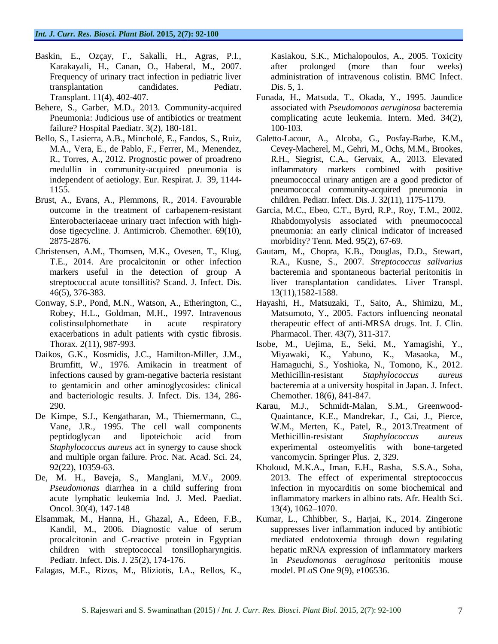- Baskin, E., Ozçay, F., Sakalli, H., Agras, P.I., Karakayali, H., Canan, O., Haberal, M., 2007. Frequency of urinary tract infection in pediatric liver transplantation candidates. Pediatr. Transplant. 11(4), 402-407.
- Behere, S., Garber, M.D., 2013. Community-acquired Pneumonia: Judicious use of antibiotics or treatment failure? Hospital Paediatr. 3(2), 180-181.
- Bello, S., Lasierra, A.B., Mincholé, E., Fandos, S., Ruiz, M.A., Vera, E., de Pablo, F., Ferrer, M., Menendez, R., Torres, A., 2012. Prognostic power of proadreno medullin in community-acquired pneumonia is independent of aetiology. Eur. Respirat. J. 39, 1144- 1155.
- Brust, A., Evans, A., Plemmons, R., 2014. Favourable outcome in the treatment of carbapenem-resistant Enterobacteriaceae urinary tract infection with highdose tigecycline. J. Antimicrob. Chemother. 69(10), 2875-2876.
- Christensen, A.M., Thomsen, M.K., Ovesen, T., Klug, T.E., 2014. Are procalcitonin or other infection markers useful in the detection of group A streptococcal acute tonsillitis? Scand. J. Infect. Dis. 46(5), 376-383.
- Conway, S.P., Pond, M.N., Watson, A., Etherington, C., Robey, H.L., Goldman, M.H., 1997. Intravenous colistinsulphomethate in acute respiratory exacerbations in adult patients with cystic fibrosis. Thorax. 2(11), 987-993.
- Daikos, G.K., Kosmidis, J.C., Hamilton-Miller, J.M., Brumfitt, W., 1976. Amikacin in treatment of infections caused by gram-negative bacteria resistant to gentamicin and other aminoglycosides: clinical and bacteriologic results. J. Infect. Dis. 134, 286- 290.
- De Kimpe, S.J., Kengatharan, M., Thiemermann, C., Vane, J.R., 1995. The cell wall components peptidoglycan and lipoteichoic acid from *Staphylococcus aureus* act in synergy to cause shock and multiple organ failure. Proc. Nat. Acad. Sci. 24, 92(22), 10359-63.
- De, M. H., Baveja, S., Manglani, M.V., 2009. *Pseudomonas* diarrhea in a child suffering from acute lymphatic leukemia Ind. J. Med. Paediat. Oncol. 30(4), 147-148
- Elsammak, M., Hanna, H., Ghazal, A., Edeen, F.B., Kandil, M., 2006. Diagnostic value of serum procalcitonin and C-reactive protein in Egyptian children with streptococcal tonsillopharyngitis. Pediatr. Infect. Dis. J. 25(2), 174-176.
- Falagas, M.E., Rizos, M., Bliziotis, I.A., Rellos, K.,

Kasiakou, S.K., Michalopoulos, A., 2005. Toxicity after prolonged (more than four weeks) administration of intravenous colistin. BMC Infect. Dis. 5, 1.

- Funada, H., Matsuda, T., Okada, Y., 1995. Jaundice associated with *Pseudomonas aeruginosa* bacteremia complicating acute leukemia. Intern. Med. 34(2), 100-103.
- Galetto-Lacour, A., Alcoba, G., Posfay-Barbe, K.M., Cevey-Macherel, M., Gehri, M., Ochs, M.M., Brookes, R.H., Siegrist, C.A., Gervaix, A., 2013. Elevated inflammatory markers combined with positive pneumococcal urinary antigen are a good predictor of pneumococcal community-acquired pneumonia in children. Pediatr. Infect. Dis. J. 32(11), 1175-1179.
- Garcia, M.C., Ebeo, C.T., Byrd, R.P., Roy, T.M., 2002. Rhabdomyolysis associated with pneumococcal pneumonia: an early clinical indicator of increased morbidity? Tenn. Med. 95(2), 67-69.
- Gautam, M., Chopra, K.B., Douglas, D.D., Stewart, R.A., Kusne, S., 2007. *Streptococcus salivarius* bacteremia and spontaneous bacterial peritonitis in liver transplantation candidates. Liver Transpl. 13(11),1582-1588.
- Hayashi, H., Matsuzaki, T., Saito, A., Shimizu, M., Matsumoto, Y., 2005. Factors influencing neonatal therapeutic effect of anti-MRSA drugs. Int. J. Clin. Pharmacol. Ther. 43(7), 311-317.
- Isobe, M., Uejima, E., Seki, M., Yamagishi, Y., Miyawaki, K., Yabuno, K., Masaoka, M., Hamaguchi, S., Yoshioka, N., Tomono, K., 2012. Methicillin-resistant *Staphylococcus aureus* bacteremia at a university hospital in Japan. J. Infect. Chemother. 18(6), 841-847.
- Karau, M.J., Schmidt-Malan, S.M., Greenwood-Quaintance, K.E., Mandrekar, J., Cai, J., Pierce, W.M., Merten, K., Patel, R., 2013.Treatment of Methicillin-resistant *Staphylococcus aureus* experimental osteomyelitis with bone-targeted vancomycin. Springer Plus. 2, 329.
- Kholoud, M.K.A., Iman, E.H., Rasha, S.S.A., Soha, 2013. The effect of experimental streptococcus infection in myocarditis on some biochemical and inflammatory markers in albino rats. Afr. Health Sci. 13(4), 1062–1070.
- Kumar, L., Chhibber, S., Harjai, K., 2014. Zingerone suppresses liver inflammation induced by antibiotic mediated endotoxemia through down regulating hepatic mRNA expression of inflammatory markers in *Pseudomonas aeruginosa* peritonitis mouse model. PLoS One 9(9), e106536.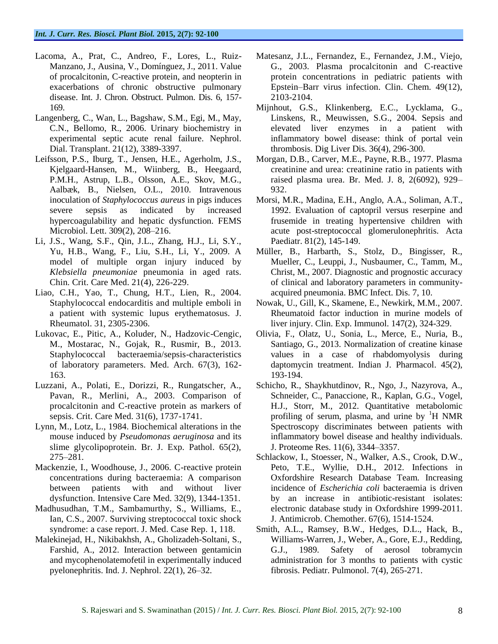- Lacoma, A., Prat, C., Andreo, F., Lores, L., Ruiz-Manzano, J., Ausina, V., Domínguez, J., 2011. Value of procalcitonin, C-reactive protein, and neopterin in exacerbations of chronic obstructive pulmonary disease. Int. J. Chron. Obstruct. Pulmon. Dis. 6, 157- 169.
- Langenberg, C., Wan, L., Bagshaw, S.M., Egi, M., May, C.N., Bellomo, R., 2006. Urinary biochemistry in experimental septic acute renal failure. Nephrol. Dial. Transplant. 21(12), 3389-3397.
- Leifsson, P.S., Iburg, T., Jensen, H.E., Agerholm, J.S., Kjelgaard-Hansen, M., Wiinberg, B., Heegaard, P.M.H., Astrup, L.B., Olsson, A.E., Skov, M.G., Aalbæk, B., Nielsen, O.L., 2010. Intravenous inoculation of *Staphylococcus aureus* in pigs induces severe sepsis as indicated by increased hypercoagulability and hepatic dysfunction. FEMS Microbiol. Lett. 309(2), 208–216.
- Li, J.S., Wang, S.F., Qin, J.L., Zhang, H.J., Li, S.Y., Yu, H.B., Wang, F., Liu, S.H., Li, Y., 2009. A model of multiple organ injury induced by *Klebsiella pneumoniae* pneumonia in aged rats. Chin. Crit. Care Med. 21(4), 226-229.
- Liao, C.H., Yao, T., Chung, H.T., Lien, R., 2004. Staphylococcal endocarditis and multiple emboli in a patient with systemic lupus erythematosus. J. Rheumatol. 31, 2305-2306.
- Lukovac, E., Pitic, A., Koluder, N., Hadzovic-Cengic, M., Mostarac, N., Gojak, R., Rusmir, B., 2013. Staphylococcal bacteraemia/sepsis-characteristics of laboratory parameters. Med. Arch. 67(3), 162- 163.
- Luzzani, A., Polati, E., Dorizzi, R., Rungatscher, A., Pavan, R., Merlini, A., 2003. Comparison of procalcitonin and C-reactive protein as markers of sepsis. Crit. Care Med. 31(6), 1737-1741.
- Lynn, M., Lotz, L., 1984. Biochemical alterations in the mouse induced by *Pseudomonas aeruginosa* and its slime glycolipoprotein. Br. J. Exp. Pathol. 65(2), 275–281.
- Mackenzie, I., Woodhouse, J., 2006. C-reactive protein concentrations during bacteraemia: A comparison between patients with and without liver dysfunction. Intensive Care Med. 32(9), 1344-1351.
- Madhusudhan, T.M., Sambamurthy, S., Williams, E., Ian, C.S., 2007. Surviving streptococcal toxic shock syndrome: a case report. J. Med. Case Rep. 1, 118.
- Malekinejad, H., Nikibakhsh, A., Gholizadeh-Soltani, S., Farshid, A., 2012. Interaction between gentamicin and mycophenolatemofetil in experimentally induced pyelonephritis. Ind. J. Nephrol. 22(1), 26–32.
- Matesanz, J.L., Fernandez, E., Fernandez, J.M., Viejo, G., 2003. Plasma procalcitonin and C-reactive protein concentrations in pediatric patients with Epstein–Barr virus infection. Clin. Chem. 49(12), 2103-2104.
- Mijnhout, G.S., Klinkenberg, E.C., Lycklama, G., Linskens, R., Meuwissen, S.G., 2004. Sepsis and elevated liver enzymes in a patient with inflammatory bowel disease: think of portal vein thrombosis. Dig Liver Dis. 36(4), 296-300.
- Morgan, D.B., Carver, M.E., Payne, R.B., 1977. Plasma creatinine and urea: creatinine ratio in patients with raised plasma urea. Br. Med. J. 8, 2(6092), 929– 932.
- Morsi, M.R., Madina, E.H., Anglo, A.A., Soliman, A.T., 1992. Evaluation of captopril versus reserpine and frusemide in treating hypertensive children with acute post-streptococcal glomerulonephritis. Acta Paediatr. 81(2), 145-149.
- Müller, B., Harbarth, S., Stolz, D., Bingisser, R., Mueller, C., Leuppi, J., Nusbaumer, C., Tamm, M., Christ, M., 2007. Diagnostic and prognostic accuracy of clinical and laboratory parameters in communityacquired pneumonia. BMC Infect. Dis. 7, 10.
- Nowak, U., Gill, K., Skamene, E., Newkirk, M.M., 2007. Rheumatoid factor induction in murine models of liver injury. Clin. Exp. Immunol. 147(2), 324-329.
- Olivia, F., Olatz, U., Sonia, L., Merce, E., Nuria, B., Santiago, G., 2013. Normalization of creatine kinase values in a case of rhabdomyolysis during daptomycin treatment. Indian J. Pharmacol. 45(2), 193-194.
- Schicho, R., Shaykhutdinov, R., Ngo, J., Nazyrova, A., Schneider, C., Panaccione, R., Kaplan, G.G., Vogel, H.J., Storr, M., 2012. Quantitative metabolomic profiling of serum, plasma, and urine by  $H$  NMR Spectroscopy discriminates between patients with inflammatory bowel disease and healthy individuals. J. Proteome Res. 11(6), 3344–3357.
- Schlackow, I., Stoesser, N., Walker, A.S., Crook, D.W., Peto, T.E., Wyllie, D.H., 2012. Infections in Oxfordshire Research Database Team. Increasing incidence of *Escherichia coli* bacteraemia is driven by an increase in antibiotic-resistant isolates: electronic database study in Oxfordshire 1999-2011. J. Antimicrob. Chemother. 67(6), 1514-1524.
- Smith, A.L., Ramsey, B.W., Hedges, D.L., Hack, B., Williams-Warren, J., Weber, A., Gore, E.J., Redding, G.J., 1989. Safety of aerosol tobramycin administration for 3 months to patients with cystic fibrosis. Pediatr. Pulmonol. 7(4), 265-271.